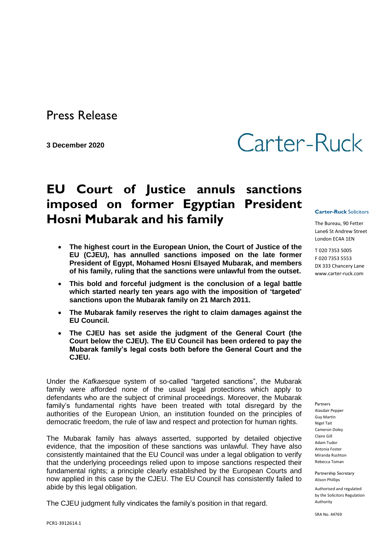Press Release

**3 December 2020**

## Carter-Ruck

## **EU Court of Justice annuls sanctions imposed on former Egyptian President Hosni Mubarak and his family**

- **The highest court in the European Union, the Court of Justice of the EU (CJEU), has annulled sanctions imposed on the late former President of Egypt, Mohamed Hosni Elsayed Mubarak, and members of his family, ruling that the sanctions were unlawful from the outset.**
- **This bold and forceful judgment is the conclusion of a legal battle which started nearly ten years ago with the imposition of 'targeted' sanctions upon the Mubarak family on 21 March 2011.**
- **The Mubarak family reserves the right to claim damages against the EU Council.**
- **The CJEU has set aside the judgment of the General Court (the Court below the CJEU). The EU Council has been ordered to pay the Mubarak family's legal costs both before the General Court and the CJEU.**

Under the *Kafkaesque* system of so-called "targeted sanctions", the Mubarak family were afforded none of the usual legal protections which apply to defendants who are the subject of criminal proceedings. Moreover, the Mubarak family's fundamental rights have been treated with total disregard by the authorities of the European Union, an institution founded on the principles of democratic freedom, the rule of law and respect and protection for human rights.

The Mubarak family has always asserted, supported by detailed objective evidence, that the imposition of these sanctions was unlawful. They have also consistently maintained that the EU Council was under a legal obligation to verify that the underlying proceedings relied upon to impose sanctions respected their fundamental rights; a principle clearly established by the European Courts and now applied in this case by the CJEU. The EU Council has consistently failed to abide by this legal obligation.

The CJEU judgment fully vindicates the family's position in that regard.

**Carter-Ruck** Solicitors

The Bureau, 90 Fetter Lane6 St Andrew Street London EC4A 1EN

T 020 7353 5005 F 020 7353 5553 DX 333 Chancery Lane www.carter-ruck.com

Partners Alasdair Pepper Guy Martin Nigel Tait Cameron Doley Claire Gill Adam Tudor Antonia Foster Miranda Rushton Rebecca Toman

Partnership Secretary Alison Phillips

Authorised and regulated by the Solicitors Regulation Authority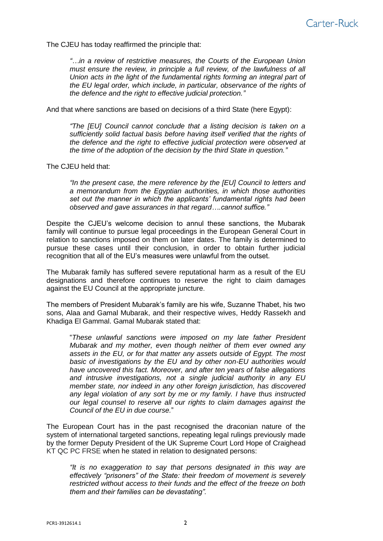The CJEU has today reaffirmed the principle that:

*"…in a review of restrictive measures, the Courts of the European Union must ensure the review, in principle a full review, of the lawfulness of all Union acts in the light of the fundamental rights forming an integral part of the EU legal order, which include, in particular, observance of the rights of the defence and the right to effective judicial protection."*

And that where sanctions are based on decisions of a third State (here Egypt):

*"The [EU] Council cannot conclude that a listing decision is taken on a sufficiently solid factual basis before having itself verified that the rights of the defence and the right to effective judicial protection were observed at the time of the adoption of the decision by the third State in question."*

The CJEU held that:

*"In the present case, the mere reference by the [EU] Council to letters and a memorandum from the Egyptian authorities, in which those authorities set out the manner in which the applicants' fundamental rights had been observed and gave assurances in that regard….cannot suffice."*

Despite the CJEU's welcome decision to annul these sanctions, the Mubarak family will continue to pursue legal proceedings in the European General Court in relation to sanctions imposed on them on later dates. The family is determined to pursue these cases until their conclusion, in order to obtain further judicial recognition that all of the EU's measures were unlawful from the outset.

The Mubarak family has suffered severe reputational harm as a result of the EU designations and therefore continues to reserve the right to claim damages against the EU Council at the appropriate juncture.

The members of President Mubarak's family are his wife, Suzanne Thabet, his two sons, Alaa and Gamal Mubarak, and their respective wives, Heddy Rassekh and Khadiga El Gammal. Gamal Mubarak stated that:

"*These unlawful sanctions were imposed on my late father President Mubarak and my mother, even though neither of them ever owned any assets in the EU, or for that matter any assets outside of Egypt. The most basic of investigations by the EU and by other non-EU authorities would have uncovered this fact. Moreover, and after ten years of false allegations and intrusive investigations, not a single judicial authority in any EU member state, nor indeed in any other foreign jurisdiction, has discovered any legal violation of any sort by me or my family. I have thus instructed our legal counsel to reserve all our rights to claim damages against the Council of the EU in due course.*"

The European Court has in the past recognised the draconian nature of the system of international targeted sanctions, repeating legal rulings previously made by the former Deputy President of the UK Supreme Court Lord Hope of Craighead KT QC PC FRSE when he stated in relation to designated persons:

*"It is no exaggeration to say that persons designated in this way are effectively "prisoners" of the State: their freedom of movement is severely restricted without access to their funds and the effect of the freeze on both them and their families can be devastating".*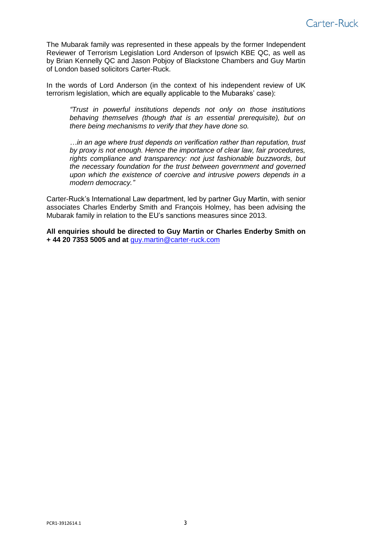

The Mubarak family was represented in these appeals by the former Independent Reviewer of Terrorism Legislation Lord Anderson of Ipswich KBE QC, as well as by Brian Kennelly QC and Jason Pobjoy of Blackstone Chambers and Guy Martin of London based solicitors Carter-Ruck.

In the words of Lord Anderson (in the context of his independent review of UK terrorism legislation, which are equally applicable to the Mubaraks' case):

*"Trust in powerful institutions depends not only on those institutions behaving themselves (though that is an essential prerequisite), but on there being mechanisms to verify that they have done so.*

*…in an age where trust depends on verification rather than reputation, trust by proxy is not enough. Hence the importance of clear law, fair procedures, rights compliance and transparency: not just fashionable buzzwords, but the necessary foundation for the trust between government and governed upon which the existence of coercive and intrusive powers depends in a modern democracy."*

Carter-Ruck's International Law department, led by partner Guy Martin, with senior associates Charles Enderby Smith and François Holmey, has been advising the Mubarak family in relation to the EU's sanctions measures since 2013.

**All enquiries should be directed to Guy Martin or Charles Enderby Smith on + 44 20 7353 5005 and at** guy.martin@carter-ruck.com